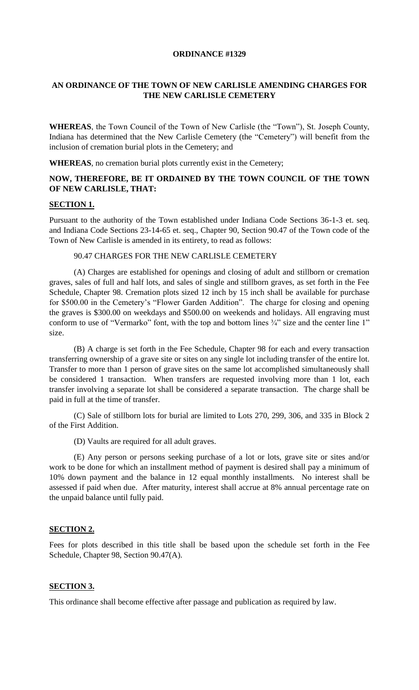## **ORDINANCE #1329**

# **AN ORDINANCE OF THE TOWN OF NEW CARLISLE AMENDING CHARGES FOR THE NEW CARLISLE CEMETERY**

**WHEREAS**, the Town Council of the Town of New Carlisle (the "Town"), St. Joseph County, Indiana has determined that the New Carlisle Cemetery (the "Cemetery") will benefit from the inclusion of cremation burial plots in the Cemetery; and

**WHEREAS**, no cremation burial plots currently exist in the Cemetery;

# **NOW, THEREFORE, BE IT ORDAINED BY THE TOWN COUNCIL OF THE TOWN OF NEW CARLISLE, THAT:**

## **SECTION 1.**

Pursuant to the authority of the Town established under Indiana Code Sections 36-1-3 et. seq. and Indiana Code Sections 23-14-65 et. seq., Chapter 90, Section 90.47 of the Town code of the Town of New Carlisle is amended in its entirety, to read as follows:

### 90.47 CHARGES FOR THE NEW CARLISLE CEMETERY

(A) Charges are established for openings and closing of adult and stillborn or cremation graves, sales of full and half lots, and sales of single and stillborn graves, as set forth in the Fee Schedule, Chapter 98. Cremation plots sized 12 inch by 15 inch shall be available for purchase for \$500.00 in the Cemetery's "Flower Garden Addition". The charge for closing and opening the graves is \$300.00 on weekdays and \$500.00 on weekends and holidays. All engraving must conform to use of "Vermarko" font, with the top and bottom lines  $\frac{3}{4}$ " size and the center line 1" size.

(B) A charge is set forth in the Fee Schedule, Chapter 98 for each and every transaction transferring ownership of a grave site or sites on any single lot including transfer of the entire lot. Transfer to more than 1 person of grave sites on the same lot accomplished simultaneously shall be considered 1 transaction. When transfers are requested involving more than 1 lot, each transfer involving a separate lot shall be considered a separate transaction. The charge shall be paid in full at the time of transfer.

(C) Sale of stillborn lots for burial are limited to Lots 270, 299, 306, and 335 in Block 2 of the First Addition.

(D) Vaults are required for all adult graves.

(E) Any person or persons seeking purchase of a lot or lots, grave site or sites and/or work to be done for which an installment method of payment is desired shall pay a minimum of 10% down payment and the balance in 12 equal monthly installments. No interest shall be assessed if paid when due. After maturity, interest shall accrue at 8% annual percentage rate on the unpaid balance until fully paid.

#### **SECTION 2.**

Fees for plots described in this title shall be based upon the schedule set forth in the Fee Schedule, Chapter 98, Section 90.47(A).

## **SECTION 3.**

This ordinance shall become effective after passage and publication as required by law.